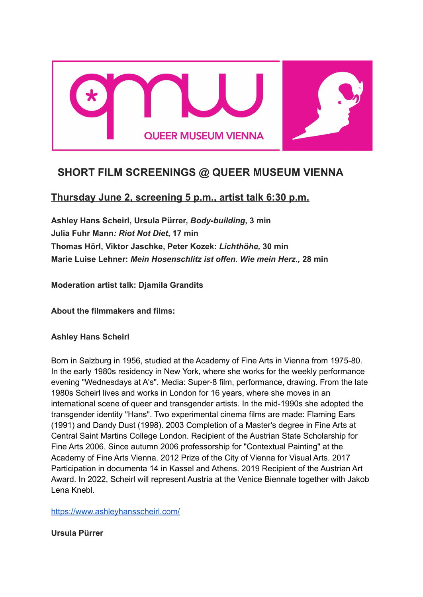

# **SHORT FILM SCREENINGS @ QUEER MUSEUM VIENNA**

# **Thursday June 2, screening 5 p.m., artist talk 6:30 p.m.**

**Ashley Hans Scheirl, Ursula Pürrer,** *Body-building***, 3 min Julia Fuhr Mann***: Riot Not Diet***, 17 min Thomas Hörl, Viktor Jaschke, Peter Kozek:** *Lichthöhe,* **30 min Marie Luise Lehner:** *Mein Hosenschlitz ist offen. Wie mein Herz.,* **28 min**

**Moderation artist talk: Djamila Grandits**

**About the filmmakers and films:**

**Ashley Hans Scheirl**

Born in Salzburg in 1956, studied at the Academy of Fine Arts in Vienna from 1975-80. In the early 1980s residency in New York, where she works for the weekly performance evening "Wednesdays at A's". Media: Super-8 film, performance, drawing. From the late 1980s Scheirl lives and works in London for 16 years, where she moves in an international scene of queer and transgender artists. In the mid-1990s she adopted the transgender identity "Hans". Two experimental cinema films are made: Flaming Ears (1991) and Dandy Dust (1998). 2003 Completion of a Master's degree in Fine Arts at Central Saint Martins College London. Recipient of the Austrian State Scholarship for Fine Arts 2006. Since autumn 2006 professorship for "Contextual Painting" at the Academy of Fine Arts Vienna. 2012 Prize of the City of Vienna for Visual Arts. 2017 Participation in documenta 14 in Kassel and Athens. 2019 Recipient of the Austrian Art Award. In 2022, Scheirl will represent Austria at the Venice Biennale together with Jakob Lena Knebl.

<https://www.ashleyhansscheirl.com/>

**Ursula Pürrer**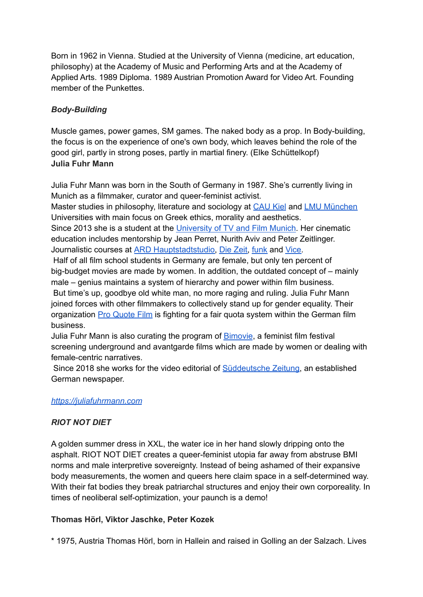Born in 1962 in Vienna. Studied at the University of Vienna (medicine, art education, philosophy) at the Academy of Music and Performing Arts and at the Academy of Applied Arts. 1989 Diploma. 1989 Austrian Promotion Award for Video Art. Founding member of the Punkettes.

# *Body-Building*

Muscle games, power games, SM games. The naked body as a prop. In Body-building, the focus is on the experience of one's own body, which leaves behind the role of the good girl, partly in strong poses, partly in martial finery. (Elke Schüttelkopf) **Julia Fuhr Mann**

Julia Fuhr Mann was born in the South of Germany in 1987. She's currently living in Munich as a filmmaker, curator and queer-feminist activist.

Master studies in philosophy, literature and sociology at [CAU](http://www.uni-kiel.de/) Kiel and LMU [München](https://www.uni-muenchen.de/index.html) Universities with main focus on Greek ethics, morality and aesthetics.

Since 2013 she is a student at the [University](https://www.hff-muenchen.de/) of TV and Film Munich. Her cinematic education includes mentorship by Jean Perret, Nurith Aviv and Peter Zeitlinger. Journalistic courses at ARD [Hauptstadtstudio,](http://www.ard-hauptstadtstudio.de/) Die [Zeit,](http://www.zeit.de/index) [funk](https://www.funk.net/) and [Vice.](https://www.vice.com/)

Half of all film school students in Germany are female, but only ten percent of big-budget movies are made by women. In addition, the outdated concept of – mainly male – genius maintains a system of hierarchy and power within film business. But time's up, goodbye old white man, no more raging and ruling. Julia Fuhr Mann

joined forces with other filmmakers to collectively stand up for gender equality. Their organization Pro [Quote](http://proquote-film.de/) Film is fighting for a fair quota system within the German film business.

Julia Fuhr Mann is also curating the program of [Bimovie](https://www.bimovie-frauenfilmfest.de/), a feminist film festival screening underground and avantgarde films which are made by women or dealing with female-centric narratives.

Since 2018 she works for the video editorial of [Süddeutsche](http://www.sueddeutsche.de/) Zeitung, an established German newspaper.

## *<https://juliafuhrmann.com>*

## *RIOT NOT DIET*

A golden summer dress in XXL, the water ice in her hand slowly dripping onto the asphalt. RIOT NOT DIET creates a queer-feminist utopia far away from abstruse BMI norms and male interpretive sovereignty. Instead of being ashamed of their expansive body measurements, the women and queers here claim space in a self-determined way. With their fat bodies they break patriarchal structures and enjoy their own corporeality. In times of neoliberal self-optimization, your paunch is a demo!

## **Thomas Hörl, Viktor Jaschke, Peter Kozek**

\* 1975, Austria Thomas Hörl, born in Hallein and raised in Golling an der Salzach. Lives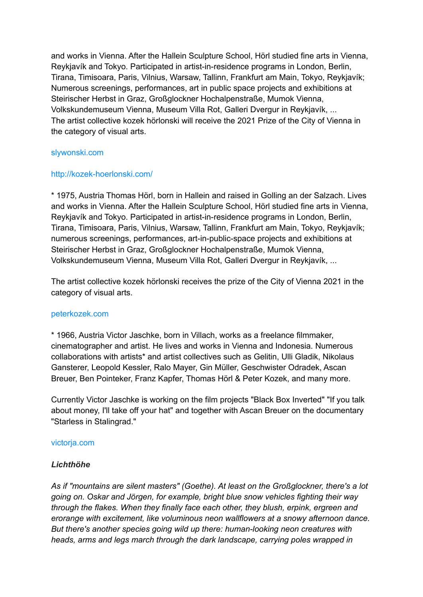and works in Vienna. After the Hallein Sculpture School, Hörl studied fine arts in Vienna, Reykjavík and Tokyo. Participated in artist-in-residence programs in London, Berlin, Tirana, Timisoara, Paris, Vilnius, Warsaw, Tallinn, Frankfurt am Main, Tokyo, Reykjavík; Numerous screenings, performances, art in public space projects and exhibitions at Steirischer Herbst in Graz, Großglockner Hochalpenstraße, Mumok Vienna, Volkskundemuseum Vienna, Museum Villa Rot, Galleri Dvergur in Reykjavík, ... The artist collective kozek hörlonski will receive the 2021 Prize of the City of Vienna in the category of visual arts.

#### [slywonski.com](https://thomas-hoerl.tumblr.com/)

### <http://kozek-hoerlonski.com/>

\* 1975, Austria Thomas Hörl, born in Hallein and raised in Golling an der Salzach. Lives and works in Vienna. After the Hallein Sculpture School, Hörl studied fine arts in Vienna, Reykjavík and Tokyo. Participated in artist-in-residence programs in London, Berlin, Tirana, Timisoara, Paris, Vilnius, Warsaw, Tallinn, Frankfurt am Main, Tokyo, Reykjavík; numerous screenings, performances, art-in-public-space projects and exhibitions at Steirischer Herbst in Graz, Großglockner Hochalpenstraße, Mumok Vienna, Volkskundemuseum Vienna, Museum Villa Rot, Galleri Dvergur in Reykjavík, ...

The artist collective kozek hörlonski receives the prize of the City of Vienna 2021 in the category of visual arts.

#### [peterkozek.com](https://www.peterkozek.com/)

\* 1966, Austria Victor Jaschke, born in Villach, works as a freelance filmmaker, cinematographer and artist. He lives and works in Vienna and Indonesia. Numerous collaborations with artists\* and artist collectives such as Gelitin, Ulli Gladik, Nikolaus Gansterer, Leopold Kessler, Ralo Mayer, Gin Müller, Geschwister Odradek, Ascan Breuer, Ben Pointeker, Franz Kapfer, Thomas Hörl & Peter Kozek, and many more.

Currently Victor Jaschke is working on the film projects "Black Box Inverted" "If you talk about money, I'll take off your hat" and together with Ascan Breuer on the documentary "Starless in Stalingrad."

#### [victorja.com](https://www.victorja.com/)

### *Lichthöhe*

*As if "mountains are silent masters" (Goethe). At least on the Großglockner, there's a lot going on. Oskar and Jörgen, for example, bright blue snow vehicles fighting their way through the flakes. When they finally face each other, they blush, erpink, ergreen and erorange with excitement, like voluminous neon wallflowers at a snowy afternoon dance. But there's another species going wild up there: human-looking neon creatures with heads, arms and legs march through the dark landscape, carrying poles wrapped in*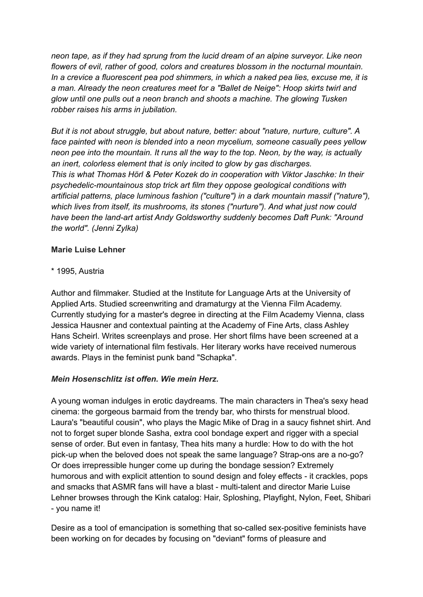*neon tape, as if they had sprung from the lucid dream of an alpine surveyor. Like neon flowers of evil, rather of good, colors and creatures blossom in the nocturnal mountain. In a crevice a fluorescent pea pod shimmers, in which a naked pea lies, excuse me, it is a man. Already the neon creatures meet for a "Ballet de Neige": Hoop skirts twirl and glow until one pulls out a neon branch and shoots a machine. The glowing Tusken robber raises his arms in jubilation.*

*But it is not about struggle, but about nature, better: about "nature, nurture, culture". A face painted with neon is blended into a neon mycelium, someone casually pees yellow neon pee into the mountain. It runs all the way to the top. Neon, by the way, is actually an inert, colorless element that is only incited to glow by gas discharges. This is what Thomas Hörl & Peter Kozek do in cooperation with Viktor Jaschke: In their psychedelic-mountainous stop trick art film they oppose geological conditions with artificial patterns, place luminous fashion ("culture") in a dark mountain massif ("nature"), which lives from itself, its mushrooms, its stones ("nurture"). And what just now could have been the land-art artist Andy Goldsworthy suddenly becomes Daft Punk: "Around the world". (Jenni Zylka)*

## **Marie Luise Lehner**

## \* 1995, Austria

Author and filmmaker. Studied at the Institute for Language Arts at the University of Applied Arts. Studied screenwriting and dramaturgy at the Vienna Film Academy. Currently studying for a master's degree in directing at the Film Academy Vienna, class Jessica Hausner and contextual painting at the Academy of Fine Arts, class Ashley Hans Scheirl. Writes screenplays and prose. Her short films have been screened at a wide variety of international film festivals. Her literary works have received numerous awards. Plays in the feminist punk band "Schapka".

## *Mein Hosenschlitz ist offen. Wie mein Herz.*

A young woman indulges in erotic daydreams. The main characters in Thea's sexy head cinema: the gorgeous barmaid from the trendy bar, who thirsts for menstrual blood. Laura's "beautiful cousin", who plays the Magic Mike of Drag in a saucy fishnet shirt. And not to forget super blonde Sasha, extra cool bondage expert and rigger with a special sense of order. But even in fantasy, Thea hits many a hurdle: How to do with the hot pick-up when the beloved does not speak the same language? Strap-ons are a no-go? Or does irrepressible hunger come up during the bondage session? Extremely humorous and with explicit attention to sound design and foley effects - it crackles, pops and smacks that ASMR fans will have a blast - multi-talent and director Marie Luise Lehner browses through the Kink catalog: Hair, Sploshing, Playfight, Nylon, Feet, Shibari - you name it!

Desire as a tool of emancipation is something that so-called sex-positive feminists have been working on for decades by focusing on "deviant" forms of pleasure and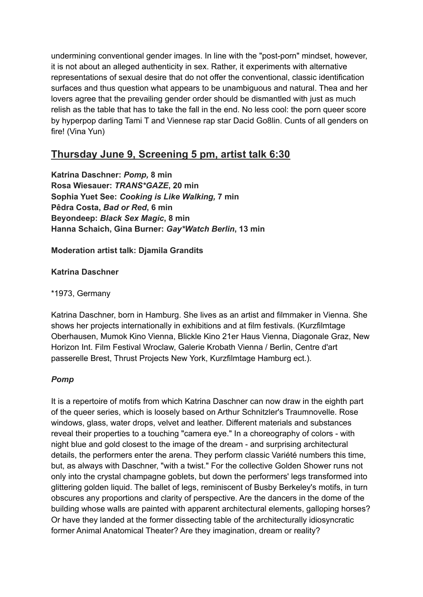undermining conventional gender images. In line with the "post-porn" mindset, however, it is not about an alleged authenticity in sex. Rather, it experiments with alternative representations of sexual desire that do not offer the conventional, classic identification surfaces and thus question what appears to be unambiguous and natural. Thea and her lovers agree that the prevailing gender order should be dismantled with just as much relish as the table that has to take the fall in the end. No less cool: the porn queer score by hyperpop darling Tami T and Viennese rap star Dacid Go8lin. Cunts of all genders on fire! (Vina Yun)

# **Thursday June 9, Screening 5 pm, artist talk 6:30**

**Katrina Daschner:** *Pomp,* **8 min Rosa Wiesauer:** *TRANS\*GAZE***, 20 min Sophia Yuet See:** *Cooking is Like Walking,* **7 min Pêdra Costa,** *Bad or Red***, 6 min Beyondeep:** *Black Sex Magic***, 8 min Hanna Schaich, Gina Burner:** *Gay\*Watch Berlin***, 13 min**

**Moderation artist talk: Djamila Grandits**

**Katrina Daschner**

\*1973, Germany

Katrina Daschner, born in Hamburg. She lives as an artist and filmmaker in Vienna. She shows her projects internationally in exhibitions and at film festivals. (Kurzfilmtage Oberhausen, Mumok Kino Vienna, Blickle Kino 21er Haus Vienna, Diagonale Graz, New Horizon Int. Film Festival Wroclaw, Galerie Krobath Vienna / Berlin, Centre d'art passerelle Brest, Thrust Projects New York, Kurzfilmtage Hamburg ect.).

## *Pomp*

It is a repertoire of motifs from which Katrina Daschner can now draw in the eighth part of the queer series, which is loosely based on Arthur Schnitzler's Traumnovelle. Rose windows, glass, water drops, velvet and leather. Different materials and substances reveal their properties to a touching "camera eye." In a choreography of colors - with night blue and gold closest to the image of the dream - and surprising architectural details, the performers enter the arena. They perform classic Variété numbers this time, but, as always with Daschner, "with a twist." For the collective Golden Shower runs not only into the crystal champagne goblets, but down the performers' legs transformed into glittering golden liquid. The ballet of legs, reminiscent of Busby Berkeley's motifs, in turn obscures any proportions and clarity of perspective. Are the dancers in the dome of the building whose walls are painted with apparent architectural elements, galloping horses? Or have they landed at the former dissecting table of the architecturally idiosyncratic former Animal Anatomical Theater? Are they imagination, dream or reality?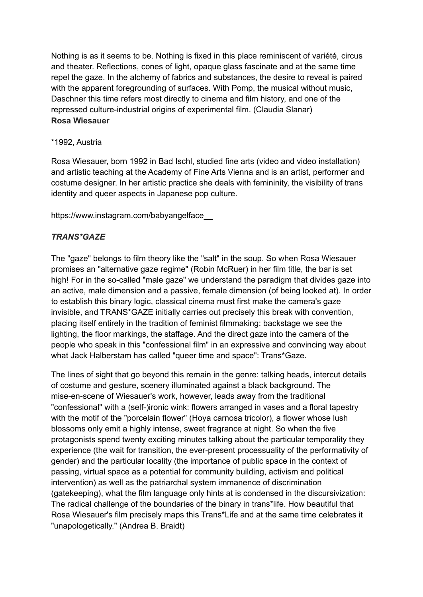Nothing is as it seems to be. Nothing is fixed in this place reminiscent of variété, circus and theater. Reflections, cones of light, opaque glass fascinate and at the same time repel the gaze. In the alchemy of fabrics and substances, the desire to reveal is paired with the apparent foregrounding of surfaces. With Pomp, the musical without music, Daschner this time refers most directly to cinema and film history, and one of the repressed culture-industrial origins of experimental film. (Claudia Slanar) **Rosa Wiesauer**

### \*1992, Austria

Rosa Wiesauer, born 1992 in Bad Ischl, studied fine arts (video and video installation) and artistic teaching at the Academy of Fine Arts Vienna and is an artist, performer and costume designer. In her artistic practice she deals with femininity, the visibility of trans identity and queer aspects in Japanese pop culture.

https://www.instagram.com/babyangelface\_\_

## *TRANS\*GAZE*

The "gaze" belongs to film theory like the "salt" in the soup. So when Rosa Wiesauer promises an "alternative gaze regime" (Robin McRuer) in her film title, the bar is set high! For in the so-called "male gaze" we understand the paradigm that divides gaze into an active, male dimension and a passive, female dimension (of being looked at). In order to establish this binary logic, classical cinema must first make the camera's gaze invisible, and TRANS\*GAZE initially carries out precisely this break with convention, placing itself entirely in the tradition of feminist filmmaking: backstage we see the lighting, the floor markings, the staffage. And the direct gaze into the camera of the people who speak in this "confessional film" in an expressive and convincing way about what Jack Halberstam has called "queer time and space": Trans\*Gaze.

The lines of sight that go beyond this remain in the genre: talking heads, intercut details of costume and gesture, scenery illuminated against a black background. The mise-en-scene of Wiesauer's work, however, leads away from the traditional "confessional" with a (self-)ironic wink: flowers arranged in vases and a floral tapestry with the motif of the "porcelain flower" (Hoya carnosa tricolor), a flower whose lush blossoms only emit a highly intense, sweet fragrance at night. So when the five protagonists spend twenty exciting minutes talking about the particular temporality they experience (the wait for transition, the ever-present processuality of the performativity of gender) and the particular locality (the importance of public space in the context of passing, virtual space as a potential for community building, activism and political intervention) as well as the patriarchal system immanence of discrimination (gatekeeping), what the film language only hints at is condensed in the discursivization: The radical challenge of the boundaries of the binary in trans\*life. How beautiful that Rosa Wiesauer's film precisely maps this Trans\*Life and at the same time celebrates it "unapologetically." (Andrea B. Braidt)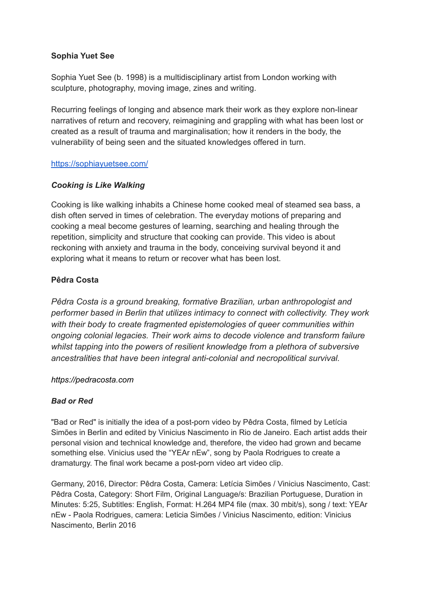### **Sophia Yuet See**

Sophia Yuet See (b. 1998) is a multidisciplinary artist from London working with sculpture, photography, moving image, zines and writing.

Recurring feelings of longing and absence mark their work as they explore non-linear narratives of return and recovery, reimagining and grappling with what has been lost or created as a result of trauma and marginalisation; how it renders in the body, the vulnerability of being seen and the situated knowledges offered in turn.

### <https://sophiayuetsee.com/>

## *Cooking is Like Walking*

Cooking is like walking inhabits a Chinese home cooked meal of steamed sea bass, a dish often served in times of celebration. The everyday motions of preparing and cooking a meal become gestures of learning, searching and healing through the repetition, simplicity and structure that cooking can provide. This video is about reckoning with anxiety and trauma in the body, conceiving survival beyond it and exploring what it means to return or recover what has been lost.

## **Pêdra Costa**

*Pêdra Costa is a ground breaking, formative Brazilian, urban anthropologist and performer based in Berlin that utilizes intimacy to connect with collectivity. They work with their body to create fragmented epistemologies of queer communities within ongoing colonial legacies. Their work aims to decode violence and transform failure whilst tapping into the powers of resilient knowledge from a plethora of subversive ancestralities that have been integral anti-colonial and necropolitical survival.*

### *https://pedracosta.com*

### *Bad or Red*

"Bad or Red" is initially the idea of a post-porn video by Pêdra Costa, filmed by Letícia Simões in Berlin and edited by Vinicius Nascimento in Rio de Janeiro. Each artist adds their personal vision and technical knowledge and, therefore, the video had grown and became something else. Vinicius used the "YEAr nEw", song by Paola Rodrigues to create a dramaturgy. The final work became a post-porn video art video clip.

Germany, 2016, Director: Pêdra Costa, Camera: Letícia Simões / Vinicius Nascimento, Cast: Pêdra Costa, Category: Short Film, Original Language/s: Brazilian Portuguese, Duration in Minutes: 5:25, Subtitles: English, Format: H.264 MP4 file (max. 30 mbit/s), song / text: YEAr nEw - Paola Rodrigues, camera: Leticia Simões / Vinicius Nascimento, edition: Vinicius Nascimento, Berlin 2016